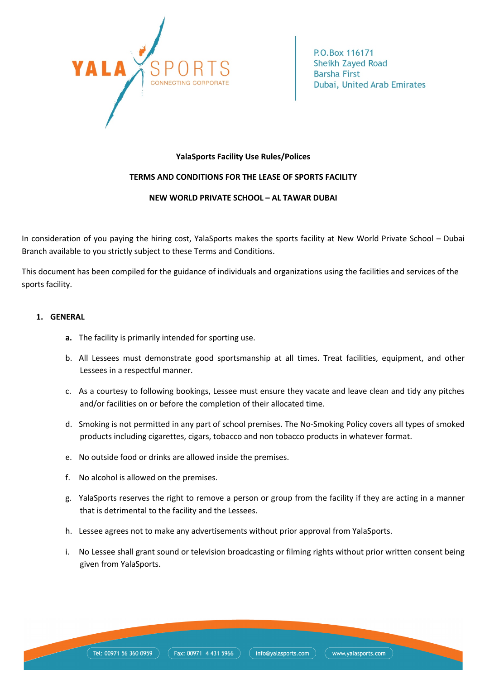

## **YalaSports Facility Use Rules/Polices**

# **TERMS AND CONDITIONS FOR THE LEASE OF SPORTS FACILITY**

## **NEW WORLD PRIVATE SCHOOL – AL TAWAR DUBAI**

In consideration of you paying the hiring cost, YalaSports makes the sports facility at New World Private School – Dubai Branch available to you strictly subject to these Terms and Conditions.

This document has been compiled for the guidance of individuals and organizations using the facilities and services of the sports facility.

## **1. GENERAL**

- **a.** The facility is primarily intended for sporting use.
- b. All Lessees must demonstrate good sportsmanship at all times. Treat facilities, equipment, and other Lessees in a respectful manner.
- c. As a courtesy to following bookings, Lessee must ensure they vacate and leave clean and tidy any pitches and/or facilities on or before the completion of their allocated time.
- d. Smoking is not permitted in any part of school premises. The No-Smoking Policy covers all types of smoked products including cigarettes, cigars, tobacco and non tobacco products in whatever format.
- e. No outside food or drinks are allowed inside the premises.
- f. No alcohol is allowed on the premises.
- g. YalaSports reserves the right to remove a person or group from the facility if they are acting in a manner that is detrimental to the facility and the Lessees.
- h. Lessee agrees not to make any advertisements without prior approval from YalaSports.
- i. No Lessee shall grant sound or television broadcasting or filming rights without prior written consent being given from YalaSports.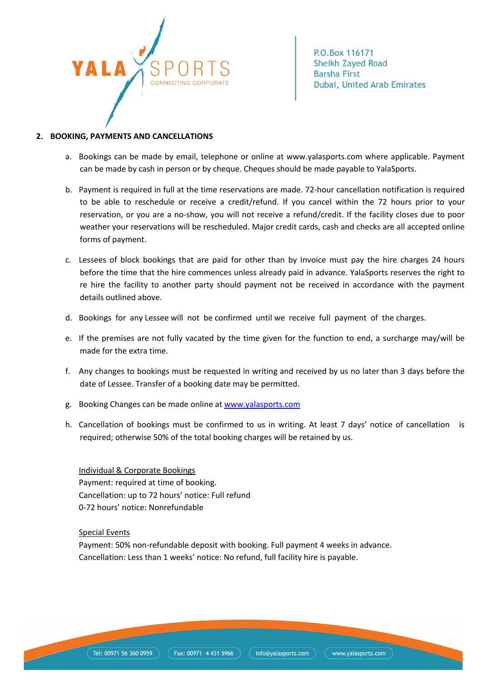

#### **2. BOOKING, PAYMENTS AND CANCELLATIONS**

- a. Bookings can be made by email, telephone or online at www.yalasports.com where applicable. Payment can be made by cash in person or by cheque. Cheques should be made payable to YalaSports.
- b. Payment is required in full at the time reservations are made. 72-hour cancellation notification is required to be able to reschedule or receive a credit/refund. If you cancel within the 72 hours prior to your reservation, or you are a no-show, you will not receive a refund/credit. If the facility closes due to poor weather your reservations will be rescheduled. Major credit cards, cash and checks are all accepted online forms of payment.
- c. Lessees of block bookings that are paid for other than by Invoice must pay the hire charges 24 hours before the time that the hire commences unless already paid in advance. YalaSports reserves the right to re hire the facility to another party should payment not be received in accordance with the payment details outlined above.
- d. Bookings for any Lessee will not be confirmed until we receive full payment of the charges.
- e. If the premises are not fully vacated by the time given for the function to end, a surcharge may/will be made for the extra time.
- f. Any changes to bookings must be requested in writing and received by us no later than 3 days before the date of Lessee. Transfer of a booking date may be permitted.
- g. Booking Changes can be made online at www.yalasports.com
- h. Cancellation of bookings must be confirmed to us in writing. At least 7 days' notice of cancellation is required; otherwise 50% of the total booking charges will be retained by us.

Individual & Corporate Bookings Payment: required at time of booking. Cancellation: up to 72 hours' notice: Full refund 0-72 hours' notice: Nonrefundable

Special Events

Payment: 50% non-refundable deposit with booking. Full payment 4 weeks in advance. Cancellation: Less than 1 weeks' notice: No refund, full facility hire is payable.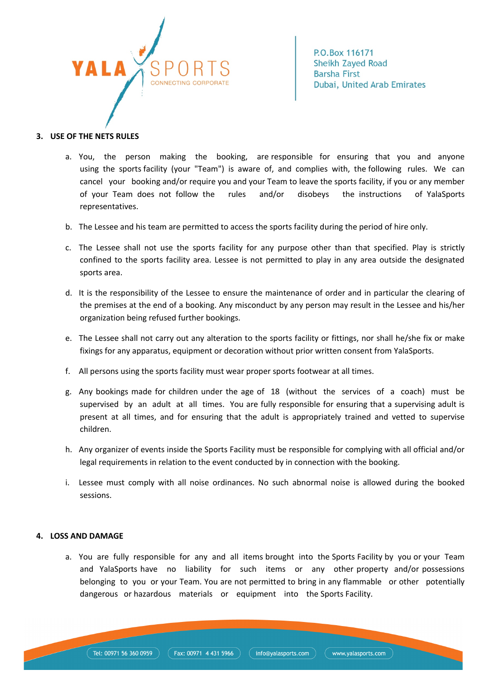

#### **3. USE OF THE NETS RULES**

- a. You, the person making the booking, are responsible for ensuring that you and anyone using the sports facility (your "Team") is aware of, and complies with, the following rules. We can cancel your booking and/or require you and your Team to leave the sports facility, if you or any member of your Team does not follow the rules and/or disobeys the instructions of YalaSports representatives.
- b. The Lessee and his team are permitted to access the sports facility during the period of hire only.
- c. The Lessee shall not use the sports facility for any purpose other than that specified. Play is strictly confined to the sports facility area. Lessee is not permitted to play in any area outside the designated sports area.
- d. It is the responsibility of the Lessee to ensure the maintenance of order and in particular the clearing of the premises at the end of a booking. Any misconduct by any person may result in the Lessee and his/her organization being refused further bookings.
- e. The Lessee shall not carry out any alteration to the sports facility or fittings, nor shall he/she fix or make fixings for any apparatus, equipment or decoration without prior written consent from YalaSports.
- f. All persons using the sports facility must wear proper sports footwear at all times.
- g. Any bookings made for children under the age of 18 (without the services of a coach) must be supervised by an adult at all times. You are fully responsible for ensuring that a supervising adult is present at all times, and for ensuring that the adult is appropriately trained and vetted to supervise children.
- h. Any organizer of events inside the Sports Facility must be responsible for complying with all official and/or legal requirements in relation to the event conducted by in connection with the booking.
- i. Lessee must comply with all noise ordinances. No such abnormal noise is allowed during the booked sessions.

#### **4. LOSS AND DAMAGE**

a. You are fully responsible for any and all items brought into the Sports Facility by you or your Team and YalaSports have no liability for such items or any other property and/or possessions belonging to you or your Team. You are not permitted to bring in any flammable or other potentially dangerous or hazardous materials or equipment into the Sports Facility.